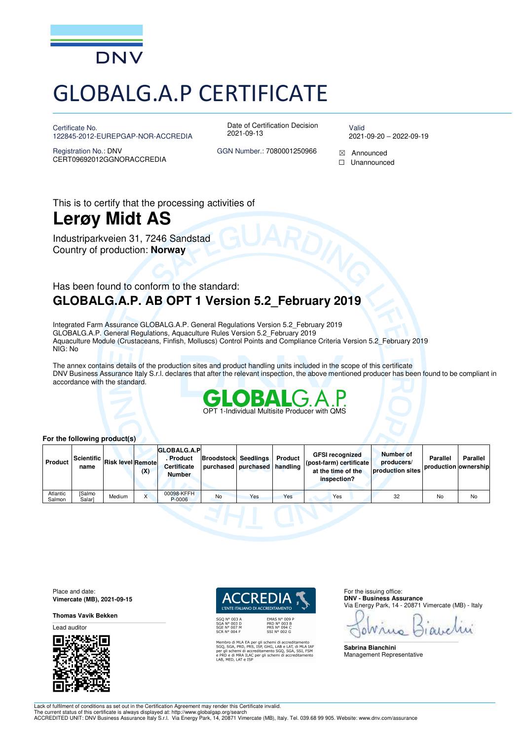

# GLOBALG.A.P CERTIFICATE

Certificate No. 122845-2012-EUREPGAP-NOR-ACCREDIA Date of Certification Decision 2021-09-13

Valid 2021-09-20 – 2022-09-19

Registration No.: DNV CERT09692012GGNORACCREDIA GGN Number.: 7080001250966  $\boxtimes$  Announced

☐ Unannounced

This is to certify that the processing activities of

## **Lerøy Midt AS**

Industriparkveien 31, 7246 Sandstad Country of production: **Norway**

### Has been found to conform to the standard: **GLOBALG.A.P. AB OPT 1 Version 5.2\_February 2019**

Integrated Farm Assurance GLOBALG.A.P. General Regulations Version 5.2\_February 2019 GLOBALG.A.P. General Regulations, Aquaculture Rules Version 5.2\_February 2019 Aquaculture Module (Crustaceans, Finfish, Molluscs) Control Points and Compliance Criteria Version 5.2\_February 2019 NIG: No

The annex contains details of the production sites and product handling units included in the scope of this certificate DNV Business Assurance Italy S.r.l. declares that after the relevant inspection, the above mentioned producer has been found to be compliant in accordance with the standard.



#### **For the following product(s)**

| <b>Product</b>     | Scientific L<br>name   | <b>Risk level Remote</b> | (X) | <b>GLOBALG.A.P</b><br>. Product<br><b>Certificate</b><br><b>Number</b> | <b>Broodstock Seedlings</b><br>purchased purchased handling |     | Product | <b>GFSI recognized</b><br>  (post-farm) certificate<br>at the time of the<br>inspection? | <b>Number of</b><br>producers/<br>production sites | Parallel<br>production ownership | Parallel |
|--------------------|------------------------|--------------------------|-----|------------------------------------------------------------------------|-------------------------------------------------------------|-----|---------|------------------------------------------------------------------------------------------|----------------------------------------------------|----------------------------------|----------|
| Atlantic<br>Salmon | <b>Salmo</b><br>Salar] | Medium                   |     | 00098-KFFH<br>P-0006                                                   | No                                                          | Yes | Yes     | Yes                                                                                      | 32                                                 | No                               | No       |

Place and date: **Vimercate (MB), 2021-09-15** 

**Thomas Vavik Bekken** 

Lead auditor



I'ENTE ITALIANO DI ACCREDITAMENTO

EMAS Nº 009<br>PRD Nº 003 B<br>PRS Nº 094 C<br>SSI Nº 002 G

Membro di MLA EA per gli schemi di accreditamento<br>SGQ, SGA, PRD, PRS, ISP, GHG, LAB e LAT, di MLA IAF<br>per gli schemi di accreditamento SGQ, SGA, SSI, FSM<br>e PRD e di MRA ILAC per gli schemi di accreditamento<br>LAB, MED, LAT e

For the issuing office: **DNV - Business Assurance**  Via Energy Park, 14 - 20871 Vimercate (MB) - Italy

۵ \_\_\_\_\_\_\_\_\_\_\_\_\_\_\_\_\_\_\_\_\_\_\_\_\_\_\_\_\_\_\_\_\_\_\_\_\_\_\_\_\_\_\_\_\_\_\_\_\_\_\_\_\_\_\_\_\_\_\_\_\_\_\_\_\_\_\_\_\_\_\_\_\_\_\_\_\_\_

**Sabrina Bianchini**  Management Representative

Lack of fulfilment of conditions as set out in the Certification Agreement may render this Certificate invalid.

The current status of this certificate is always displayed at: http://www.globalgap.org/search<br>ACCREDITED UNIT: DNV Business Assurance Italy S.r.l. Via Energy Park, 14, 20871 Vimercate (MB), Italy. Tel. 039.68 99 905. Webs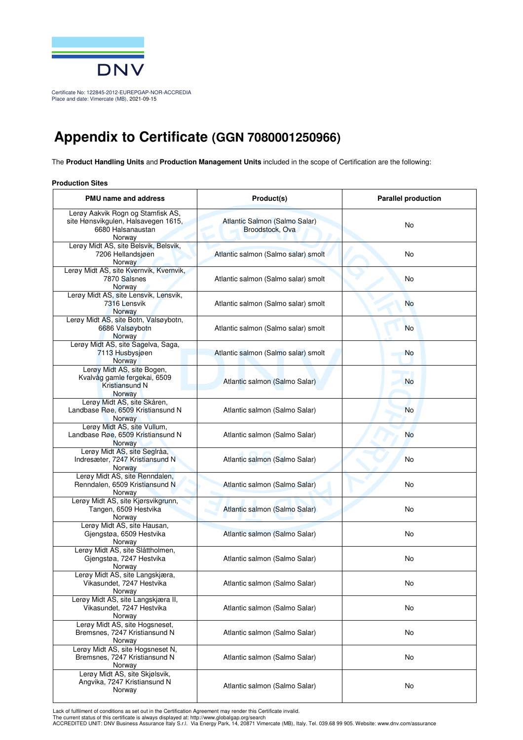

Certificate No: 122845-2012-EUREPGAP-NOR-ACCREDIA Place and date: Vimercate (MB), 2021-09-15

### **Appendix to Certificate (GGN 7080001250966)**

The **Product Handling Units** and **Production Management Units** included in the scope of Certification are the following:

#### **Production Sites**

| <b>PMU name and address</b>                                                                             | Product(s)                                       | <b>Parallel production</b> |  |
|---------------------------------------------------------------------------------------------------------|--------------------------------------------------|----------------------------|--|
| Lerøy Aakvik Rogn og Stamfisk AS,<br>site Hønsvikgulen, Halsavegen 1615,<br>6680 Halsanaustan<br>Norway | Atlantic Salmon (Salmo Salar)<br>Broodstock, Ova | No                         |  |
| Lerøy Midt AS, site Belsvik, Belsvik,<br>7206 Hellandsjøen<br>Norway                                    | Atlantic salmon (Salmo salar) smolt              | No                         |  |
| Lerøy Midt AS, site Kvernvik, Kvernvik,<br>7870 Salsnes<br>Norway                                       | Atlantic salmon (Salmo salar) smolt              | No                         |  |
| Lerøy Midt AS, site Lensvik, Lensvik,<br>7316 Lensvik<br>Norway                                         | Atlantic salmon (Salmo salar) smolt              | <b>No</b>                  |  |
| Lerøy Midt AS, site Botn, Valsøybotn,<br>6686 Valsøybotn<br>Norway                                      | Atlantic salmon (Salmo salar) smolt              | <b>No</b>                  |  |
| Lerøy Midt AS, site Sagelva, Saga,<br>7113 Husbysjøen<br>Norway                                         | Atlantic salmon (Salmo salar) smolt              | <b>No</b>                  |  |
| Lerøy Midt AS, site Bogen,<br>Kvalvåg gamle fergekai, 6509<br>Kristiansund N<br>Norway                  | Atlantic salmon (Salmo Salar)                    | <b>No</b>                  |  |
| Lerøy Midt AS, site Skåren,<br>Landbase Røe, 6509 Kristiansund N<br>Norway                              | Atlantic salmon (Salmo Salar)                    | <b>No</b>                  |  |
| Lerøy Midt AS, site Vullum,<br>Landbase Røe, 6509 Kristiansund N<br>Norway                              | Atlantic salmon (Salmo Salar)                    | No                         |  |
| Lerøy Midt AS, site Seglråa,<br>Indresæter, 7247 Kristiansund N<br>Norway                               | Atlantic salmon (Salmo Salar)                    | No                         |  |
| Lerøy Midt AS, site Renndalen,<br>Renndalen, 6509 Kristiansund N<br>Norway                              | Atlantic salmon (Salmo Salar)                    | No                         |  |
| Lerøy Midt AS, site Kjørsvikgrunn,<br>Tangen, 6509 Hestvika<br>Norway                                   | Atlantic salmon (Salmo Salar)                    | No                         |  |
| Lerøy Midt AS, site Hausan,<br>Gjengstøa, 6509 Hestvika<br>Norway                                       | Atlantic salmon (Salmo Salar)                    | No                         |  |
| Lerøy Midt AS, site Slåttholmen,<br>Gjengstøa, 7247 Hestvika<br>Norway                                  | Atlantic salmon (Salmo Salar)                    | No                         |  |
| Lerøy Midt AS, site Langskjæra,<br>Vikasundet, 7247 Hestvika<br>Norway                                  | Atlantic salmon (Salmo Salar)                    | No                         |  |
| Lerøy Midt AS, site Langskjæra II,<br>Vikasundet, 7247 Hestvika<br>Norway                               | Atlantic salmon (Salmo Salar)                    | No                         |  |
| Lerøy Midt AS, site Hogsneset,<br>Bremsnes, 7247 Kristiansund N<br>Norway                               | Atlantic salmon (Salmo Salar)                    | No                         |  |
| Lerøy Midt AS, site Hogsneset N,<br>Bremsnes, 7247 Kristiansund N<br>Norway                             | Atlantic salmon (Salmo Salar)                    | No                         |  |
| Lerøy Midt AS, site Skjølsvik,<br>Angvika, 7247 Kristiansund N<br>Norway                                | Atlantic salmon (Salmo Salar)                    | No                         |  |

Lack of fulfilment of conditions as set out in the Certification Agreement may render this Certificate invalid.<br>The current status of this certificate is always displayed at: http://www.globalgap.org/search<br>ACCREDITED UNIT